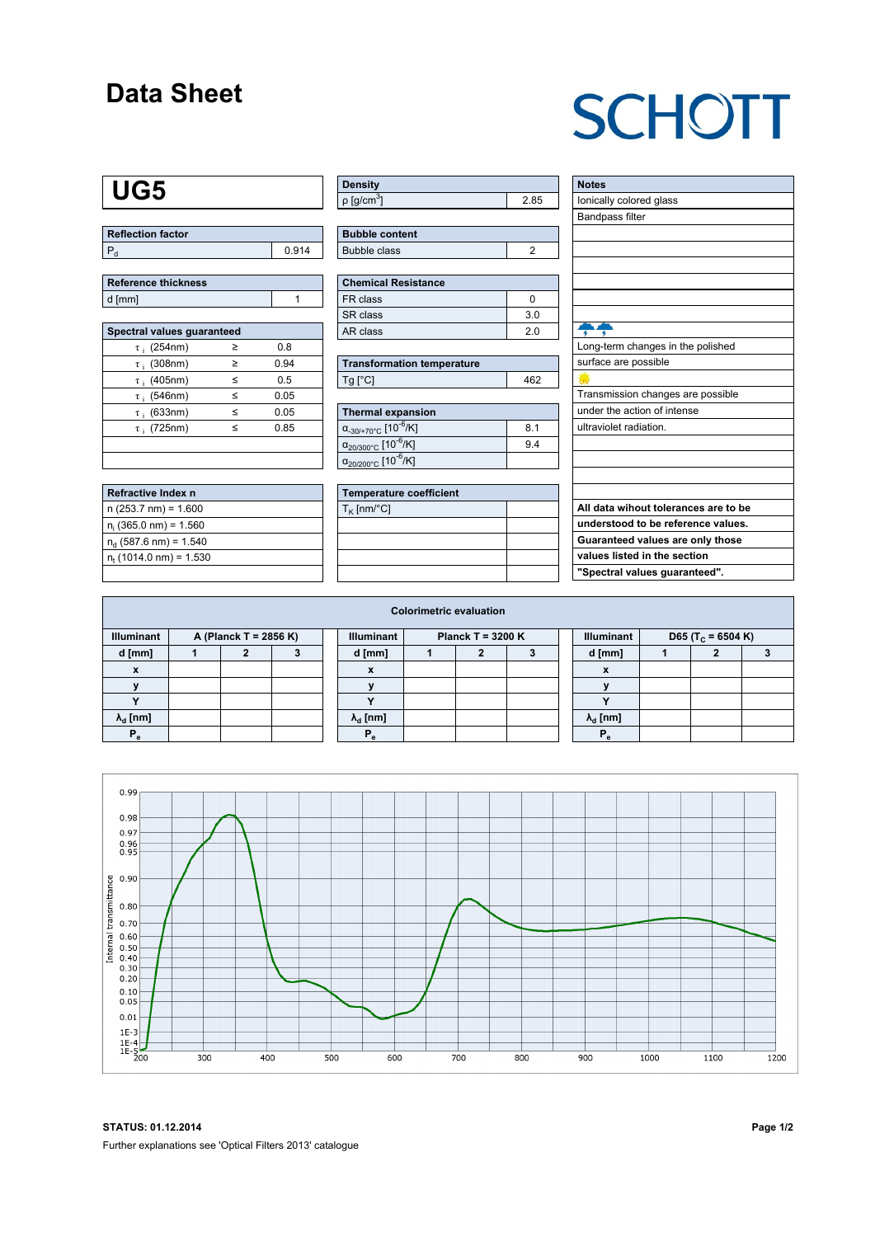### **Data Sheet**

# **SCHOTT**

## **UG5**

| Reflection factor |       |
|-------------------|-------|
|                   | 0.914 |

| <b>Reference thickness</b> |  |
|----------------------------|--|
| d [mm]                     |  |

| Spectral values guaranteed |   |      |
|----------------------------|---|------|
| $\tau$ ; (254nm)           | > | 0.8  |
| $\tau$ ; (308nm)           | ≥ | 0.94 |
| $\tau$ ; (405nm)           | < | 0.5  |
| $\tau$ ; (546nm)           | < | 0.05 |
| $\tau$ ; (633nm)           | < | 0.05 |
| $\tau$ ; (725nm)           | < | 0.85 |
|                            |   |      |
|                            |   |      |

| Refractive Index n              |  |
|---------------------------------|--|
| $n(253.7 nm) = 1.600$           |  |
| $n_i$ (365.0 nm) = 1.560        |  |
| $n_{d}$ (587.6 nm) = 1.540      |  |
| $n_{\rm t}$ (1014.0 nm) = 1.530 |  |
|                                 |  |

| Density                    |  |
|----------------------------|--|
| $ p $ [g/cm <sup>3</sup> ] |  |

| <b>Bubble content</b> |  |
|-----------------------|--|
| Bubble class          |  |

| Chemical Resistance |                |
|---------------------|----------------|
| FR class            |                |
| SR class            | 3 <sub>0</sub> |
| l AR class          | 2 በ            |

| <b>Transformation temperature</b> |     |
|-----------------------------------|-----|
| Tq [°C]                           | 462 |

| Thermal expansion                                 |     |
|---------------------------------------------------|-----|
| $\alpha_{-30/+70\degree}$ c [10 <sup>-6</sup> /K] | 8.1 |
| $\alpha_{20/300^{\circ}C}$ [10 <sup>-6</sup> /K]  | 9.4 |
| $\alpha_{20/200^{\circ}C}$ [10 <sup>-6</sup> /K]  |     |

| Temperature coefficient |  |
|-------------------------|--|
| $T_{\rm K}$ [nm/°C]     |  |
|                         |  |
|                         |  |
|                         |  |
|                         |  |

| <b>Notes</b>                         |
|--------------------------------------|
| lonically colored glass              |
| <b>Bandpass filter</b>               |
|                                      |
|                                      |
|                                      |
|                                      |
|                                      |
|                                      |
|                                      |
| Long-term changes in the polished    |
| surface are possible                 |
|                                      |
| Transmission changes are possible    |
| under the action of intense          |
| ultraviolet radiation.               |
|                                      |
|                                      |
|                                      |
|                                      |
| All data wihout tolerances are to be |
| understood to be reference values.   |
| Guaranteed values are only those     |
| values listed in the section         |

**"Spectral values guaranteed".**

| D65 (T <sub>c</sub> = 6504 K) |
|-------------------------------|
|                               |
|                               |
|                               |
|                               |
|                               |
|                               |
|                               |



**STATUS: 01.12.2014 Page 1/2** Further explanations see 'Optical Filters 2013' catalogue